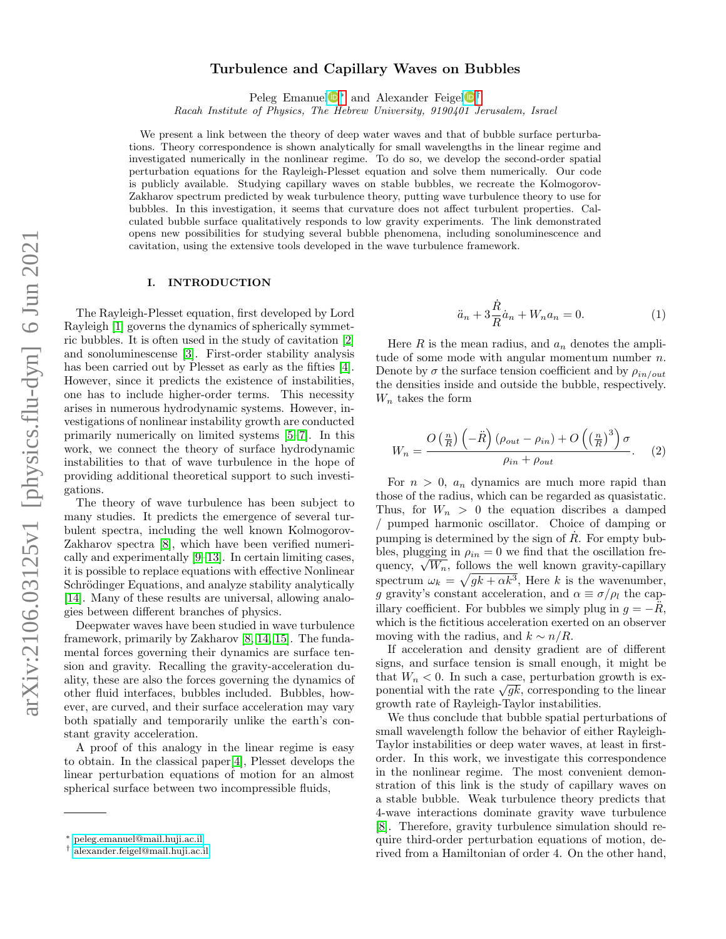# Turbulence and Capillary Waves on Bubbles

Peleg Emanuel<sup>D<sup>[∗](#page-0-0)</sup> and Alexander Feigel<sup>D[†](#page-0-1)</sup></sup>

Racah Institute of Physics, The Hebrew University, 9190401 Jerusalem, Israel

We present a link between the theory of deep water waves and that of bubble surface perturbations. Theory correspondence is shown analytically for small wavelengths in the linear regime and investigated numerically in the nonlinear regime. To do so, we develop the second-order spatial perturbation equations for the Rayleigh-Plesset equation and solve them numerically. Our code is publicly available. Studying capillary waves on stable bubbles, we recreate the Kolmogorov-Zakharov spectrum predicted by weak turbulence theory, putting wave turbulence theory to use for bubbles. In this investigation, it seems that curvature does not affect turbulent properties. Calculated bubble surface qualitatively responds to low gravity experiments. The link demonstrated opens new possibilities for studying several bubble phenomena, including sonoluminescence and cavitation, using the extensive tools developed in the wave turbulence framework.

# I. INTRODUCTION

The Rayleigh-Plesset equation, first developed by Lord Rayleigh [\[1\]](#page-4-0) governs the dynamics of spherically symmetric bubbles. It is often used in the study of cavitation [\[2\]](#page-4-1) and sonoluminescense [\[3\]](#page-4-2). First-order stability analysis has been carried out by Plesset as early as the fifties [\[4\]](#page-4-3). However, since it predicts the existence of instabilities, one has to include higher-order terms. This necessity arises in numerous hydrodynamic systems. However, investigations of nonlinear instability growth are conducted primarily numerically on limited systems [\[5](#page-4-4)[–7\]](#page-4-5). In this work, we connect the theory of surface hydrodynamic instabilities to that of wave turbulence in the hope of providing additional theoretical support to such investigations.

The theory of wave turbulence has been subject to many studies. It predicts the emergence of several turbulent spectra, including the well known Kolmogorov-Zakharov spectra [\[8\]](#page-4-6), which have been verified numerically and experimentally [\[9–](#page-4-7)[13\]](#page-4-8). In certain limiting cases, it is possible to replace equations with effective Nonlinear Schrödinger Equations, and analyze stability analytically [\[14\]](#page-4-9). Many of these results are universal, allowing analogies between different branches of physics.

Deepwater waves have been studied in wave turbulence framework, primarily by Zakharov [\[8,](#page-4-6) [14,](#page-4-9) [15\]](#page-4-10). The fundamental forces governing their dynamics are surface tension and gravity. Recalling the gravity-acceleration duality, these are also the forces governing the dynamics of other fluid interfaces, bubbles included. Bubbles, however, are curved, and their surface acceleration may vary both spatially and temporarily unlike the earth's constant gravity acceleration.

A proof of this analogy in the linear regime is easy to obtain. In the classical paper[\[4\]](#page-4-3), Plesset develops the linear perturbation equations of motion for an almost spherical surface between two incompressible fluids,

$$
\ddot{a}_n + 3\frac{\dot{R}}{R}\dot{a}_n + W_n a_n = 0.
$$
 (1)

Here  $R$  is the mean radius, and  $a_n$  denotes the amplitude of some mode with angular momentum number  $n$ . Denote by  $\sigma$  the surface tension coefficient and by  $\rho_{in/out}$ the densities inside and outside the bubble, respectively.  $W_n$  takes the form

$$
W_n = \frac{O\left(\frac{n}{R}\right)\left(-\ddot{R}\right)(\rho_{out} - \rho_{in}) + O\left(\left(\frac{n}{R}\right)^3\right)\sigma}{\rho_{in} + \rho_{out}}.\tag{2}
$$

For  $n > 0$ ,  $a_n$  dynamics are much more rapid than those of the radius, which can be regarded as quasistatic. Thus, for  $W_n > 0$  the equation discribes a damped / pumped harmonic oscillator. Choice of damping or pumping is determined by the sign of  $\dot{R}$ . For empty bubbles, plugging in  $\rho_{in} = 0$  we find that the oscillation frebles, plugging in  $\rho_{in} = 0$  we find that the oscillation frequency,  $\sqrt{W_n}$ , follows the well known gravity-capillary spectrum  $\omega_k = \sqrt{gk + \alpha k^3}$ , Here k is the wavenumber, g gravity's constant acceleration, and  $\alpha \equiv \frac{\sigma}{\rho_l}$  the capillary coefficient. For bubbles we simply plug in  $q = -R$ , which is the fictitious acceleration exerted on an observer moving with the radius, and  $k \sim n/R$ .

If acceleration and density gradient are of different signs, and surface tension is small enough, it might be that  $W_n < 0$ . In such a case, perturbation growth is exthat  $W_n < 0$ . In such a case, perturbation growth is exponential with the rate  $\sqrt{gk}$ , corresponding to the linear growth rate of Rayleigh-Taylor instabilities.

We thus conclude that bubble spatial perturbations of small wavelength follow the behavior of either Rayleigh-Taylor instabilities or deep water waves, at least in firstorder. In this work, we investigate this correspondence in the nonlinear regime. The most convenient demonstration of this link is the study of capillary waves on a stable bubble. Weak turbulence theory predicts that 4-wave interactions dominate gravity wave turbulence [\[8\]](#page-4-6). Therefore, gravity turbulence simulation should require third-order perturbation equations of motion, derived from a Hamiltonian of order 4. On the other hand,

<span id="page-0-0"></span><sup>∗</sup> [peleg.emanuel@mail.huji.ac.il](mailto:peleg.emanuel@mail.huji.ac.il)

<span id="page-0-1"></span><sup>†</sup> [alexander.feigel@mail.huji.ac.il](mailto:alexander.feigel@mail.huji.ac.il)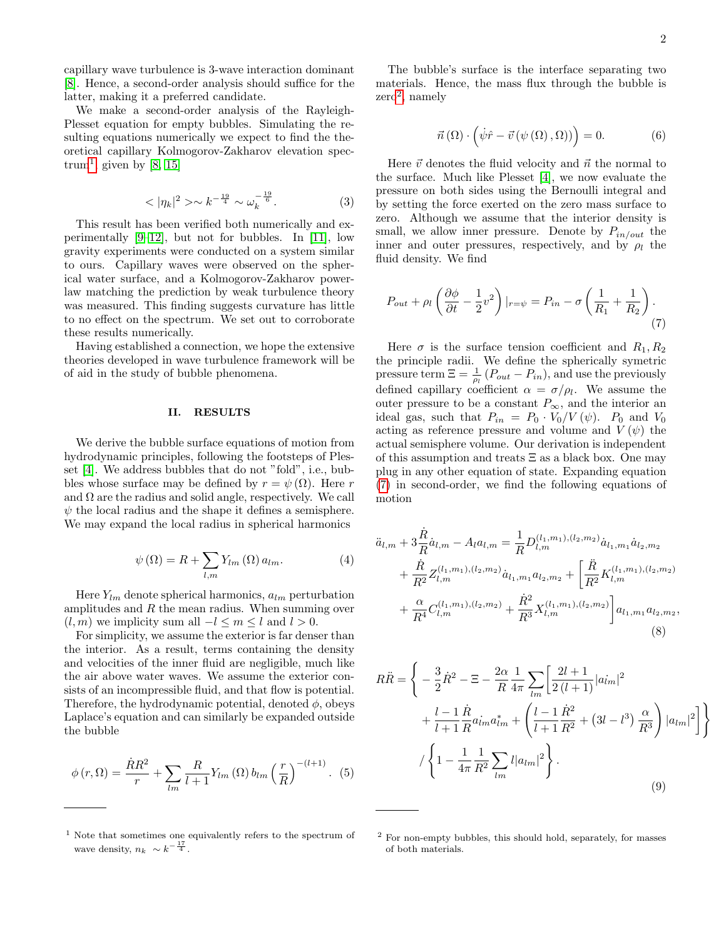<span id="page-1-4"></span><span id="page-1-3"></span>,

capillary wave turbulence is 3-wave interaction dominant [\[8\]](#page-4-6). Hence, a second-order analysis should suffice for the latter, making it a preferred candidate.

We make a second-order analysis of the Rayleigh-Plesset equation for empty bubbles. Simulating the resulting equations numerically we expect to find the theoretical capillary Kolmogorov-Zakharov elevation spec-trum<sup>[1](#page-1-0)</sup>, given by  $[8, 15]$  $[8, 15]$ 

$$
\langle |\eta_k|^2 \rangle \sim k^{-\frac{19}{4}} \sim \omega_k^{-\frac{19}{6}}.\tag{3}
$$

This result has been verified both numerically and experimentally [\[9–](#page-4-7)[12\]](#page-4-11), but not for bubbles. In [\[11\]](#page-4-12), low gravity experiments were conducted on a system similar to ours. Capillary waves were observed on the spherical water surface, and a Kolmogorov-Zakharov powerlaw matching the prediction by weak turbulence theory was measured. This finding suggests curvature has little to no effect on the spectrum. We set out to corroborate these results numerically.

Having established a connection, we hope the extensive theories developed in wave turbulence framework will be of aid in the study of bubble phenomena.

#### II. RESULTS

We derive the bubble surface equations of motion from hydrodynamic principles, following the footsteps of Plesset [\[4\]](#page-4-3). We address bubbles that do not "fold", i.e., bubbles whose surface may be defined by  $r = \psi(\Omega)$ . Here r and  $\Omega$  are the radius and solid angle, respectively. We call  $\psi$  the local radius and the shape it defines a semisphere. We may expand the local radius in spherical harmonics

$$
\psi(\Omega) = R + \sum_{l,m} Y_{lm}(\Omega) a_{lm}.
$$
 (4)

Here  $Y_{lm}$  denote spherical harmonics,  $a_{lm}$  perturbation amplitudes and  $R$  the mean radius. When summing over  $(l, m)$  we implicity sum all  $-l \leq m \leq l$  and  $l > 0$ .

For simplicity, we assume the exterior is far denser than the interior. As a result, terms containing the density and velocities of the inner fluid are negligible, much like the air above water waves. We assume the exterior consists of an incompressible fluid, and that flow is potential. Therefore, the hydrodynamic potential, denoted  $\phi$ , obeys Laplace's equation and can similarly be expanded outside the bubble

$$
\phi(r,\Omega) = \frac{\dot{R}R^2}{r} + \sum_{lm} \frac{R}{l+1} Y_{lm}(\Omega) b_{lm} \left(\frac{r}{R}\right)^{-(l+1)}.
$$
 (5)

The bubble's surface is the interface separating two materials. Hence, the mass flux through the bubble is zero<sup>[2](#page-1-1)</sup>, namely

$$
\vec{n}(\Omega) \cdot (\dot{\psi}\hat{r} - \vec{v}(\psi(\Omega), \Omega)) = 0.
$$
 (6)

Here  $\vec{v}$  denotes the fluid velocity and  $\vec{n}$  the normal to the surface. Much like Plesset [\[4\]](#page-4-3), we now evaluate the pressure on both sides using the Bernoulli integral and by setting the force exerted on the zero mass surface to zero. Although we assume that the interior density is small, we allow inner pressure. Denote by  $P_{in/out}$  the inner and outer pressures, respectively, and by  $\rho_l$  the fluid density. We find

<span id="page-1-2"></span>
$$
P_{out} + \rho_l \left( \frac{\partial \phi}{\partial t} - \frac{1}{2} v^2 \right) \Big|_{r=\psi} = P_{in} - \sigma \left( \frac{1}{R_1} + \frac{1}{R_2} \right). \tag{7}
$$

Here  $\sigma$  is the surface tension coefficient and  $R_1, R_2$ the principle radii. We define the spherically symetric pressure term  $\Xi = \frac{1}{\rho_l} (P_{out} - P_{in}),$  and use the previously defined capillary coefficient  $\alpha = \sigma/\rho_l$ . We assume the outer pressure to be a constant  $P_{\infty}$ , and the interior an ideal gas, such that  $P_{in} = P_0 \cdot V_0 / V(\psi)$ .  $P_0$  and  $V_0$ acting as reference pressure and volume and  $V(\psi)$  the actual semisphere volume. Our derivation is independent of this assumption and treats  $\Xi$  as a black box. One may plug in any other equation of state. Expanding equation [\(7\)](#page-1-2) in second-order, we find the following equations of motion

$$
\ddot{a}_{l,m} + 3\frac{\dot{R}}{R}\dot{a}_{l,m} - A_l a_{l,m} = \frac{1}{R}D_{l,m}^{(l_1,m_1),(l_2,m_2)}\dot{a}_{l_1,m_1}\dot{a}_{l_2,m_2} \n+ \frac{\dot{R}}{R^2}Z_{l,m}^{(l_1,m_1),(l_2,m_2)}\dot{a}_{l_1,m_1}a_{l_2,m_2} + \left[\frac{\ddot{R}}{R^2}K_{l,m}^{(l_1,m_1),(l_2,m_2)}\right] \n+ \frac{\alpha}{R^4}C_{l,m}^{(l_1,m_1),(l_2,m_2)} + \frac{\dot{R}^2}{R^3}X_{l,m}^{(l_1,m_1),(l_2,m_2)}\bigg]a_{l_1,m_1}a_{l_2,m_2}
$$
\n(8)

$$
R\ddot{R} = \left\{ -\frac{3}{2}\dot{R}^2 - \Xi - \frac{2\alpha}{R}\frac{1}{4\pi} \sum_{lm} \left[ \frac{2l+1}{2(l+1)} |a_{lm}|^2 + \frac{l-1}{l+1}\frac{\dot{R}}{R}a_{lm}^* a_{lm}^* + \left( \frac{l-1}{l+1}\frac{\dot{R}^2}{R^2} + (3l-l^3)\frac{\alpha}{R^3} \right) |a_{lm}|^2 \right] \right\}
$$

$$
/ \left\{ 1 - \frac{1}{4\pi} \frac{1}{R^2} \sum_{lm} l |a_{lm}|^2 \right\}.
$$

$$
(9)
$$

<span id="page-1-0"></span><sup>1</sup> Note that sometimes one equivalently refers to the spectrum of wave density,  $n_k \sim k^{-\frac{17}{4}}$ .

<span id="page-1-1"></span><sup>2</sup> For non-empty bubbles, this should hold, separately, for masses of both materials.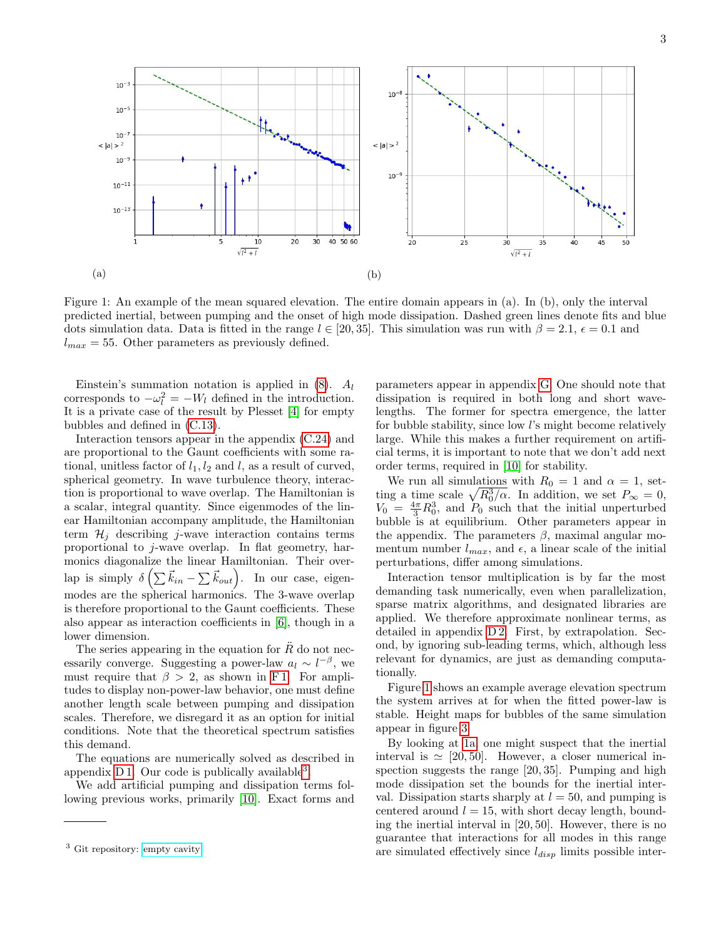<span id="page-2-1"></span>

Figure 1: An example of the mean squared elevation. The entire domain appears in (a). In (b), only the interval predicted inertial, between pumping and the onset of high mode dissipation. Dashed green lines denote fits and blue dots simulation data. Data is fitted in the range  $l \in [20, 35]$ . This simulation was run with  $\beta = 2.1$ ,  $\epsilon = 0.1$  and  $l_{max} = 55$ . Other parameters as previously defined.

Einstein's summation notation is applied in  $(8)$ .  $A_l$ corresponds to  $-\omega_l^2 = -W_l$  defined in the introduction. It is a private case of the result by Plesset [\[4\]](#page-4-3) for empty bubbles and defined in [\(C.13\)](#page-8-0).

Interaction tensors appear in the appendix [\(C.24\)](#page-10-0) and are proportional to the Gaunt coefficients with some rational, unitless factor of  $l_1, l_2$  and l, as a result of curved, spherical geometry. In wave turbulence theory, interaction is proportional to wave overlap. The Hamiltonian is a scalar, integral quantity. Since eigenmodes of the linear Hamiltonian accompany amplitude, the Hamiltonian term  $\mathcal{H}_j$  describing j-wave interaction contains terms proportional to j-wave overlap. In flat geometry, harmonics diagonalize the linear Hamiltonian. Their overlap is simply  $\delta\left(\sum \vec{k}_{in} - \sum \vec{k}_{out}\right)$ . In our case, eigenmodes are the spherical harmonics. The 3-wave overlap is therefore proportional to the Gaunt coefficients. These also appear as interaction coefficients in [\[6\]](#page-4-13), though in a lower dimension.

The series appearing in the equation for  $\ddot{R}$  do not necessarily converge. Suggesting a power-law  $a_l \sim l^{-\beta}$ , we must require that  $\beta > 2$ , as shown in F1. For amplitudes to display non-power-law behavior, one must define another length scale between pumping and dissipation scales. Therefore, we disregard it as an option for initial conditions. Note that the theoretical spectrum satisfies this demand.

The equations are numerically solved as described in appendix  $D1$ . Our code is publically available<sup>[3](#page-2-0)</sup>.

We add artificial pumping and dissipation terms following previous works, primarily [\[10\]](#page-4-14). Exact forms and parameters appear in appendix [G.](#page-17-0) One should note that dissipation is required in both long and short wavelengths. The former for spectra emergence, the latter for bubble stability, since low l's might become relatively large. While this makes a further requirement on artificial terms, it is important to note that we don't add next order terms, required in [\[10\]](#page-4-14) for stability.

We run all simulations with  $R_0 = 1$  and  $\alpha = 1$ , setting a time scale  $\sqrt{R_0^3/\alpha}$ . In addition, we set  $P_\infty = 0$ ,  $V_0 = \frac{4\pi}{3}R_0^3$ , and  $P_0$  such that the initial unperturbed bubble is at equilibrium. Other parameters appear in the appendix. The parameters  $\beta$ , maximal angular momentum number  $l_{max}$ , and  $\epsilon$ , a linear scale of the initial perturbations, differ among simulations.

Interaction tensor multiplication is by far the most demanding task numerically, even when parallelization, sparse matrix algorithms, and designated libraries are applied. We therefore approximate nonlinear terms, as detailed in appendix [D 2.](#page-11-1) First, by extrapolation. Second, by ignoring sub-leading terms, which, although less relevant for dynamics, are just as demanding computationally.

Figure [1](#page-2-1) shows an example average elevation spectrum the system arrives at for when the fitted power-law is stable. Height maps for bubbles of the same simulation appear in figure [3.](#page-3-0)

By looking at [1a,](#page-2-1) one might suspect that the inertial interval is  $\simeq$  [20, 50]. However, a closer numerical inspection suggests the range [20, 35]. Pumping and high mode dissipation set the bounds for the inertial interval. Dissipation starts sharply at  $l = 50$ , and pumping is centered around  $l = 15$ , with short decay length, bounding the inertial interval in [20, 50]. However, there is no guarantee that interactions for all modes in this range are simulated effectively since  $l_{disp}$  limits possible inter-

<span id="page-2-0"></span><sup>3</sup> Git repository: [empty cavity.](https://gitlab.com/pelegemanuel/empty_cavity)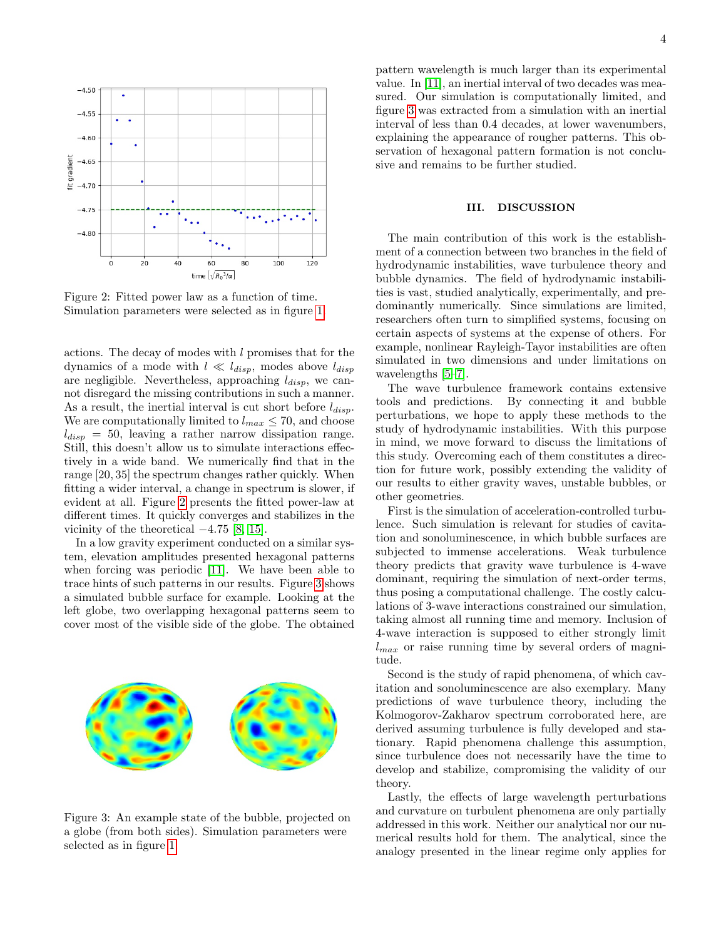<span id="page-3-1"></span>

Figure 2: Fitted power law as a function of time. Simulation parameters were selected as in figure [1.](#page-2-1)

actions. The decay of modes with l promises that for the dynamics of a mode with  $l \ll l_{disp}$ , modes above  $l_{disp}$ are negligible. Nevertheless, approaching  $l_{disp}$ , we cannot disregard the missing contributions in such a manner. As a result, the inertial interval is cut short before  $l_{disp}$ . We are computationally limited to  $l_{max} \leq 70$ , and choose  $l_{disp} = 50$ , leaving a rather narrow dissipation range. Still, this doesn't allow us to simulate interactions effectively in a wide band. We numerically find that in the range [20, 35] the spectrum changes rather quickly. When fitting a wider interval, a change in spectrum is slower, if evident at all. Figure [2](#page-3-1) presents the fitted power-law at different times. It quickly converges and stabilizes in the vicinity of the theoretical  $-4.75$  [\[8,](#page-4-6) [15\]](#page-4-10).

In a low gravity experiment conducted on a similar system, elevation amplitudes presented hexagonal patterns when forcing was periodic [\[11\]](#page-4-12). We have been able to trace hints of such patterns in our results. Figure [3](#page-3-0) shows a simulated bubble surface for example. Looking at the left globe, two overlapping hexagonal patterns seem to cover most of the visible side of the globe. The obtained

<span id="page-3-0"></span>

Figure 3: An example state of the bubble, projected on a globe (from both sides). Simulation parameters were selected as in figure [1.](#page-2-1)

pattern wavelength is much larger than its experimental value. In [\[11\]](#page-4-12), an inertial interval of two decades was measured. Our simulation is computationally limited, and figure [3](#page-3-0) was extracted from a simulation with an inertial interval of less than 0.4 decades, at lower wavenumbers, explaining the appearance of rougher patterns. This observation of hexagonal pattern formation is not conclusive and remains to be further studied.

# III. DISCUSSION

The main contribution of this work is the establishment of a connection between two branches in the field of hydrodynamic instabilities, wave turbulence theory and bubble dynamics. The field of hydrodynamic instabilities is vast, studied analytically, experimentally, and predominantly numerically. Since simulations are limited, researchers often turn to simplified systems, focusing on certain aspects of systems at the expense of others. For example, nonlinear Rayleigh-Tayor instabilities are often simulated in two dimensions and under limitations on wavelengths [\[5](#page-4-4)[–7\]](#page-4-5).

The wave turbulence framework contains extensive tools and predictions. By connecting it and bubble perturbations, we hope to apply these methods to the study of hydrodynamic instabilities. With this purpose in mind, we move forward to discuss the limitations of this study. Overcoming each of them constitutes a direction for future work, possibly extending the validity of our results to either gravity waves, unstable bubbles, or other geometries.

First is the simulation of acceleration-controlled turbulence. Such simulation is relevant for studies of cavitation and sonoluminescence, in which bubble surfaces are subjected to immense accelerations. Weak turbulence theory predicts that gravity wave turbulence is 4-wave dominant, requiring the simulation of next-order terms, thus posing a computational challenge. The costly calculations of 3-wave interactions constrained our simulation, taking almost all running time and memory. Inclusion of 4-wave interaction is supposed to either strongly limit  $l_{max}$  or raise running time by several orders of magnitude.

Second is the study of rapid phenomena, of which cavitation and sonoluminescence are also exemplary. Many predictions of wave turbulence theory, including the Kolmogorov-Zakharov spectrum corroborated here, are derived assuming turbulence is fully developed and stationary. Rapid phenomena challenge this assumption, since turbulence does not necessarily have the time to develop and stabilize, compromising the validity of our theory.

Lastly, the effects of large wavelength perturbations and curvature on turbulent phenomena are only partially addressed in this work. Neither our analytical nor our numerical results hold for them. The analytical, since the analogy presented in the linear regime only applies for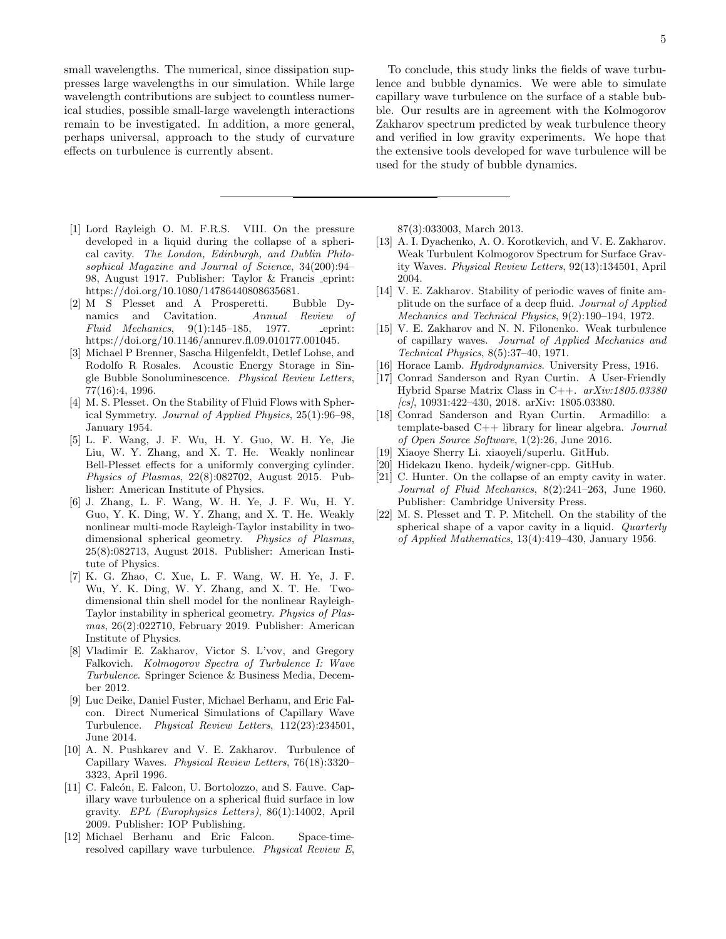small wavelengths. The numerical, since dissipation suppresses large wavelengths in our simulation. While large wavelength contributions are subject to countless numerical studies, possible small-large wavelength interactions remain to be investigated. In addition, a more general, perhaps universal, approach to the study of curvature effects on turbulence is currently absent.

- To conclude, this study links the fields of wave turbulence and bubble dynamics. We were able to simulate capillary wave turbulence on the surface of a stable bubble. Our results are in agreement with the Kolmogorov Zakharov spectrum predicted by weak turbulence theory and verified in low gravity experiments. We hope that the extensive tools developed for wave turbulence will be used for the study of bubble dynamics.
- <span id="page-4-0"></span>[1] Lord Rayleigh O. M. F.R.S. VIII. On the pressure developed in a liquid during the collapse of a spherical cavity. The London, Edinburgh, and Dublin Philosophical Magazine and Journal of Science, 34(200):94– 98, August 1917. Publisher: Taylor & Francis eprint: https://doi.org/10.1080/14786440808635681.
- <span id="page-4-1"></span>[2] M S Plesset and A Prosperetti. Bubble Dynamics and Cavitation. Annual Review of Fluid Mechanics, 9(1):145–185, 1977. eprint: https://doi.org/10.1146/annurev.fl.09.010177.001045.
- <span id="page-4-2"></span>[3] Michael P Brenner, Sascha Hilgenfeldt, Detlef Lohse, and Rodolfo R Rosales. Acoustic Energy Storage in Single Bubble Sonoluminescence. Physical Review Letters, 77(16):4, 1996.
- <span id="page-4-3"></span>[4] M. S. Plesset. On the Stability of Fluid Flows with Spherical Symmetry. Journal of Applied Physics, 25(1):96–98, January 1954.
- <span id="page-4-4"></span>[5] L. F. Wang, J. F. Wu, H. Y. Guo, W. H. Ye, Jie Liu, W. Y. Zhang, and X. T. He. Weakly nonlinear Bell-Plesset effects for a uniformly converging cylinder. Physics of Plasmas, 22(8):082702, August 2015. Publisher: American Institute of Physics.
- <span id="page-4-13"></span>[6] J. Zhang, L. F. Wang, W. H. Ye, J. F. Wu, H. Y. Guo, Y. K. Ding, W. Y. Zhang, and X. T. He. Weakly nonlinear multi-mode Rayleigh-Taylor instability in twodimensional spherical geometry. Physics of Plasmas, 25(8):082713, August 2018. Publisher: American Institute of Physics.
- <span id="page-4-5"></span>[7] K. G. Zhao, C. Xue, L. F. Wang, W. H. Ye, J. F. Wu, Y. K. Ding, W. Y. Zhang, and X. T. He. Twodimensional thin shell model for the nonlinear Rayleigh-Taylor instability in spherical geometry. Physics of Plasmas, 26(2):022710, February 2019. Publisher: American Institute of Physics.
- <span id="page-4-6"></span>[8] Vladimir E. Zakharov, Victor S. L'vov, and Gregory Falkovich. Kolmogorov Spectra of Turbulence I: Wave Turbulence. Springer Science & Business Media, December 2012.
- <span id="page-4-7"></span>[9] Luc Deike, Daniel Fuster, Michael Berhanu, and Eric Falcon. Direct Numerical Simulations of Capillary Wave Turbulence. Physical Review Letters, 112(23):234501, June 2014.
- <span id="page-4-14"></span>[10] A. N. Pushkarev and V. E. Zakharov. Turbulence of Capillary Waves. Physical Review Letters, 76(18):3320– 3323, April 1996.
- <span id="page-4-12"></span>[11] C. Falcón, E. Falcon, U. Bortolozzo, and S. Fauve. Capillary wave turbulence on a spherical fluid surface in low gravity. EPL (Europhysics Letters), 86(1):14002, April 2009. Publisher: IOP Publishing.
- <span id="page-4-11"></span>[12] Michael Berhanu and Eric Falcon. Space-timeresolved capillary wave turbulence. Physical Review E,

87(3):033003, March 2013.

- <span id="page-4-8"></span>[13] A. I. Dyachenko, A. O. Korotkevich, and V. E. Zakharov. Weak Turbulent Kolmogorov Spectrum for Surface Gravity Waves. Physical Review Letters, 92(13):134501, April 2004.
- <span id="page-4-9"></span>[14] V. E. Zakharov. Stability of periodic waves of finite amplitude on the surface of a deep fluid. Journal of Applied Mechanics and Technical Physics, 9(2):190–194, 1972.
- <span id="page-4-10"></span>[15] V. E. Zakharov and N. N. Filonenko. Weak turbulence of capillary waves. Journal of Applied Mechanics and Technical Physics, 8(5):37–40, 1971.
- <span id="page-4-15"></span>[16] Horace Lamb. Hydrodynamics. University Press, 1916.
- <span id="page-4-16"></span>[17] Conrad Sanderson and Ryan Curtin. A User-Friendly Hybrid Sparse Matrix Class in C++. arXiv:1805.03380 [cs], 10931:422–430, 2018. arXiv: 1805.03380.
- <span id="page-4-17"></span>[18] Conrad Sanderson and Ryan Curtin. Armadillo: a template-based C++ library for linear algebra. Journal of Open Source Software, 1(2):26, June 2016.
- <span id="page-4-18"></span>[19] Xiaoye Sherry Li. xiaoyeli/superlu. GitHub.
- <span id="page-4-19"></span>[20] Hidekazu Ikeno. hydeik/wigner-cpp. GitHub.
- <span id="page-4-20"></span>[21] C. Hunter. On the collapse of an empty cavity in water. Journal of Fluid Mechanics, 8(2):241–263, June 1960. Publisher: Cambridge University Press.
- <span id="page-4-21"></span>[22] M. S. Plesset and T. P. Mitchell. On the stability of the spherical shape of a vapor cavity in a liquid. Quarterly of Applied Mathematics, 13(4):419–430, January 1956.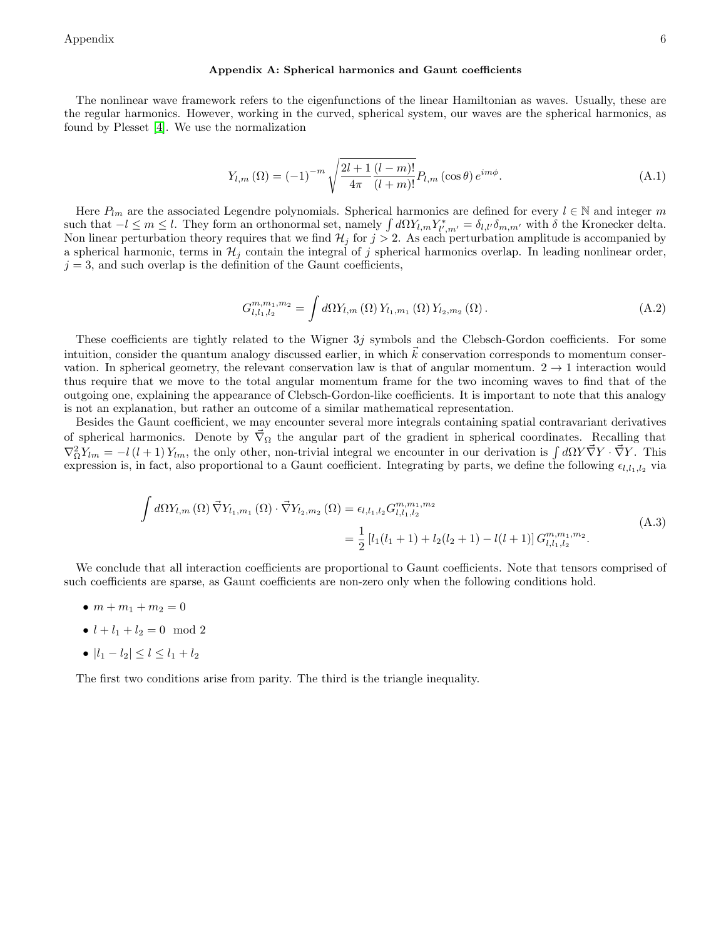#### Appendix A: Spherical harmonics and Gaunt coefficients

The nonlinear wave framework refers to the eigenfunctions of the linear Hamiltonian as waves. Usually, these are the regular harmonics. However, working in the curved, spherical system, our waves are the spherical harmonics, as found by Plesset [\[4\]](#page-4-3). We use the normalization

$$
Y_{l,m}(\Omega) = (-1)^{-m} \sqrt{\frac{2l+1}{4\pi} \frac{(l-m)!}{(l+m)!}} P_{l,m}(\cos\theta) e^{im\phi}.
$$
 (A.1)

Here  $P_{lm}$  are the associated Legendre polynomials. Spherical harmonics are defined for every  $l \in \mathbb{N}$  and integer m such that  $-l \leq m \leq l$ . They form an orthonormal set, namely  $\int d\Omega Y_{l,m} Y^*_{l',m'} = \delta_{l,l'} \delta_{m,m'}$  with  $\delta$  the Kronecker delta. Non linear perturbation theory requires that we find  $\mathcal{H}_j$  for  $j > 2$ . As each perturbation amplitude is accompanied by a spherical harmonic, terms in  $\mathcal{H}_j$  contain the integral of j spherical harmonics overlap. In leading nonlinear order,  $j = 3$ , and such overlap is the definition of the Gaunt coefficients,

$$
G_{l,l_1,l_2}^{m,m_1,m_2} = \int d\Omega Y_{l,m}(\Omega) Y_{l_1,m_1}(\Omega) Y_{l_2,m_2}(\Omega).
$$
 (A.2)

These coefficients are tightly related to the Wigner 3j symbols and the Clebsch-Gordon coefficients. For some intuition, consider the quantum analogy discussed earlier, in which  $\vec{k}$  conservation corresponds to momentum conservation. In spherical geometry, the relevant conservation law is that of angular momentum.  $2 \rightarrow 1$  interaction would thus require that we move to the total angular momentum frame for the two incoming waves to find that of the outgoing one, explaining the appearance of Clebsch-Gordon-like coefficients. It is important to note that this analogy is not an explanation, but rather an outcome of a similar mathematical representation.

Besides the Gaunt coefficient, we may encounter several more integrals containing spatial contravariant derivatives of spherical harmonics. Denote by  $\vec{\nabla}_{\Omega}$  the angular part of the gradient in spherical coordinates. Recalling that  $\nabla_{\Omega}^2 Y_{lm} = -l(l+1) Y_{lm}$ , the only other, non-trivial integral we encounter in our derivation is  $\int d\Omega Y \vec{\nabla} Y \cdot \vec{\nabla} Y$ . This expression is, in fact, also proportional to a Gaunt coefficient. Integrating by parts, we define the following  $\epsilon_{l,l_1,l_2}$  via

$$
\int d\Omega Y_{l,m}(\Omega) \vec{\nabla} Y_{l_1,m_1}(\Omega) \cdot \vec{\nabla} Y_{l_2,m_2}(\Omega) = \epsilon_{l,l_1,l_2} G^{m,m_1,m_2}_{l,l_1,l_2}
$$
\n
$$
= \frac{1}{2} \left[ l_1(l_1+1) + l_2(l_2+1) - l(l+1) \right] G^{m,m_1,m_2}_{l,l_1,l_2}.
$$
\n(A.3)

We conclude that all interaction coefficients are proportional to Gaunt coefficients. Note that tensors comprised of such coefficients are sparse, as Gaunt coefficients are non-zero only when the following conditions hold.

- $m + m_1 + m_2 = 0$
- $l + l_1 + l_2 = 0 \mod 2$
- $|l_1 l_2| < l < l_1 + l_2$

The first two conditions arise from parity. The third is the triangle inequality.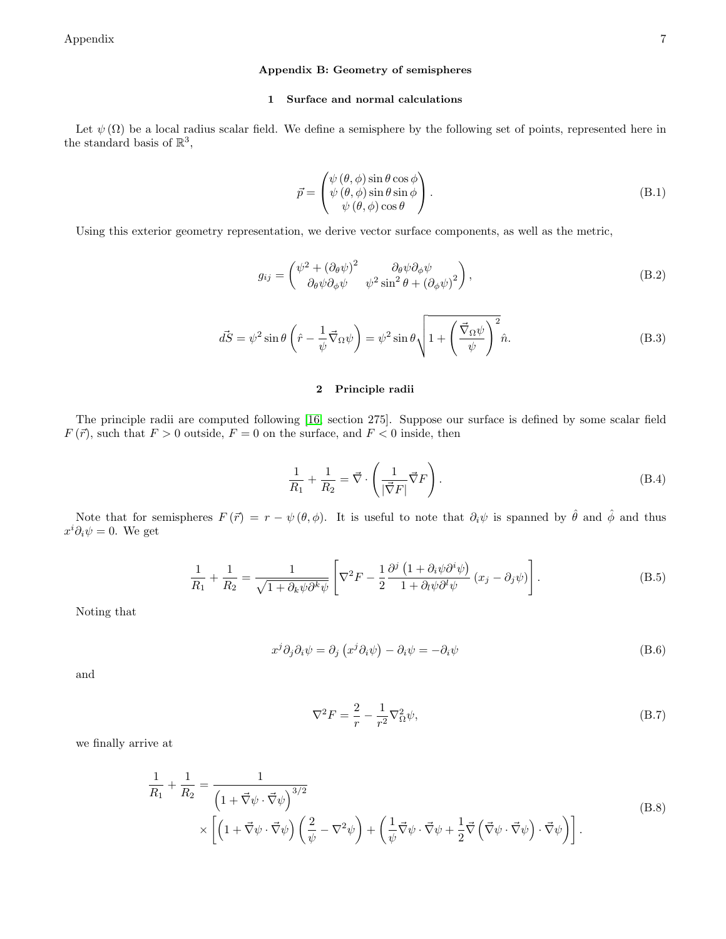# Appendix B: Geometry of semispheres

# 1 Surface and normal calculations

Let  $\psi(\Omega)$  be a local radius scalar field. We define a semisphere by the following set of points, represented here in the standard basis of  $\mathbb{R}^3$ ,

$$
\vec{p} = \begin{pmatrix} \psi (\theta, \phi) \sin \theta \cos \phi \\ \psi (\theta, \phi) \sin \theta \sin \phi \\ \psi (\theta, \phi) \cos \theta \end{pmatrix} .
$$
 (B.1)

Using this exterior geometry representation, we derive vector surface components, as well as the metric,

$$
g_{ij} = \begin{pmatrix} \psi^2 + (\partial_{\theta}\psi)^2 & \partial_{\theta}\psi\partial_{\phi}\psi \\ \partial_{\theta}\psi\partial_{\phi}\psi & \psi^2\sin^2\theta + (\partial_{\phi}\psi)^2 \end{pmatrix},
$$
(B.2)

$$
d\vec{S} = \psi^2 \sin \theta \left(\hat{r} - \frac{1}{\psi} \vec{\nabla}_{\Omega} \psi\right) = \psi^2 \sin \theta \sqrt{1 + \left(\frac{\vec{\nabla}_{\Omega} \psi}{\psi}\right)^2} \hat{n}.
$$
 (B.3)

# <span id="page-6-0"></span>2 Principle radii

The principle radii are computed following [\[16,](#page-4-15) section 275]. Suppose our surface is defined by some scalar field  $F\left( \vec{r}\right) ,$  such that  $F>0$  outside,  $F=0$  on the surface, and  $F<0$  inside, then

$$
\frac{1}{R_1} + \frac{1}{R_2} = \vec{\nabla} \cdot \left( \frac{1}{|\vec{\nabla} F|} \vec{\nabla} F \right).
$$
\n(B.4)

Note that for semispheres  $F(\vec{r}) = r - \psi(\theta, \phi)$ . It is useful to note that  $\partial_i \psi$  is spanned by  $\hat{\theta}$  and  $\hat{\phi}$  and thus  $x^i \partial_i \psi = 0$ . We get

$$
\frac{1}{R_1} + \frac{1}{R_2} = \frac{1}{\sqrt{1 + \partial_k \psi \partial^k \psi}} \left[ \nabla^2 F - \frac{1}{2} \frac{\partial^j (1 + \partial_i \psi \partial^i \psi)}{1 + \partial_i \psi \partial^l \psi} (x_j - \partial_j \psi) \right].
$$
\n(B.5)

Noting that

$$
x^{j}\partial_{j}\partial_{i}\psi = \partial_{j}(x^{j}\partial_{i}\psi) - \partial_{i}\psi = -\partial_{i}\psi
$$
\n(B.6)

and

$$
\nabla^2 F = \frac{2}{r} - \frac{1}{r^2} \nabla^2_{\Omega} \psi,
$$
\n(B.7)

we finally arrive at

$$
\frac{1}{R_1} + \frac{1}{R_2} = \frac{1}{\left(1 + \vec{\nabla}\psi \cdot \vec{\nabla}\psi\right)^{3/2}} \times \left[\left(1 + \vec{\nabla}\psi \cdot \vec{\nabla}\psi\right)\left(\frac{2}{\psi} - \nabla^2\psi\right) + \left(\frac{1}{\psi}\vec{\nabla}\psi \cdot \vec{\nabla}\psi + \frac{1}{2}\vec{\nabla}\left(\vec{\nabla}\psi \cdot \vec{\nabla}\psi\right) \cdot \vec{\nabla}\psi\right)\right].
$$
\n(B.8)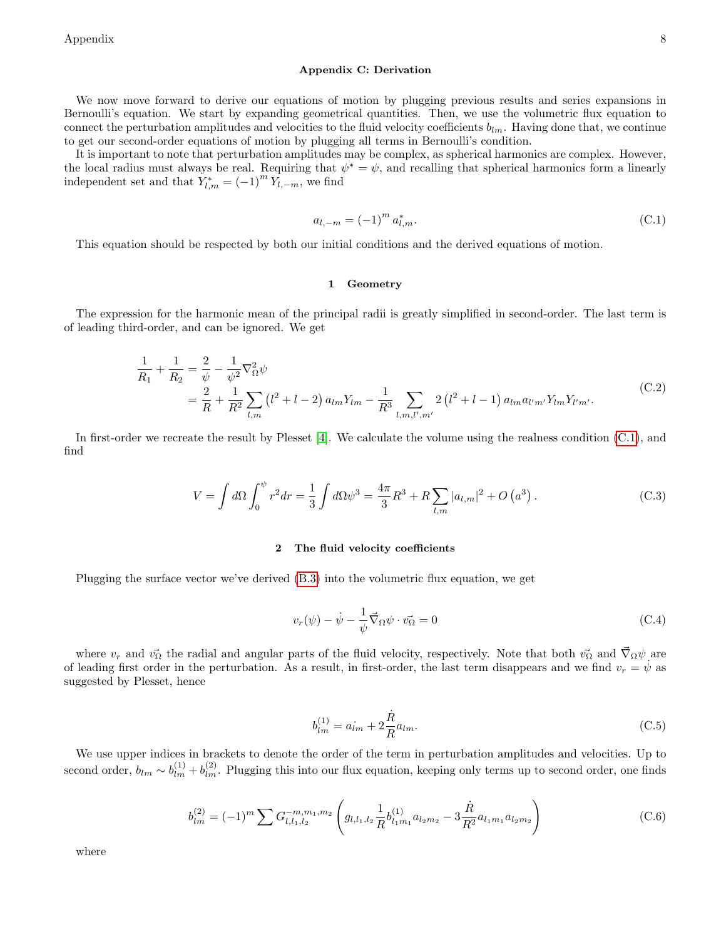# Appendix C: Derivation

We now move forward to derive our equations of motion by plugging previous results and series expansions in Bernoulli's equation. We start by expanding geometrical quantities. Then, we use the volumetric flux equation to connect the perturbation amplitudes and velocities to the fluid velocity coefficients  $b_{lm}$ . Having done that, we continue to get our second-order equations of motion by plugging all terms in Bernoulli's condition.

It is important to note that perturbation amplitudes may be complex, as spherical harmonics are complex. However, the local radius must always be real. Requiring that  $\psi^* = \psi$ , and recalling that spherical harmonics form a linearly independent set and that  $\tilde{Y}_{l,m}^* = (-1)^m Y_{l,-m}$ , we find

<span id="page-7-0"></span>
$$
a_{l,-m} = (-1)^m a_{l,m}^*.
$$
\n(C.1)

This equation should be respected by both our initial conditions and the derived equations of motion.

#### 1 Geometry

The expression for the harmonic mean of the principal radii is greatly simplified in second-order. The last term is of leading third-order, and can be ignored. We get

$$
\frac{1}{R_1} + \frac{1}{R_2} = \frac{2}{\psi} - \frac{1}{\psi^2} \nabla_{\Omega}^2 \psi
$$
\n
$$
= \frac{2}{R} + \frac{1}{R^2} \sum_{l,m} (l^2 + l - 2) a_{lm} Y_{lm} - \frac{1}{R^3} \sum_{l,m,l',m'} 2 (l^2 + l - 1) a_{lm} a_{l'm'} Y_{lm} Y_{l'm'}.
$$
\n(C.2)

In first-order we recreate the result by Plesset [\[4\]](#page-4-3). We calculate the volume using the realness condition [\(C.1\)](#page-7-0), and find

$$
V = \int d\Omega \int_0^{\psi} r^2 dr = \frac{1}{3} \int d\Omega \psi^3 = \frac{4\pi}{3} R^3 + R \sum_{l,m} |a_{l,m}|^2 + O\left(a^3\right). \tag{C.3}
$$

# 2 The fluid velocity coefficients

Plugging the surface vector we've derived [\(B.3\)](#page-6-0) into the volumetric flux equation, we get

$$
v_r(\psi) - \dot{\psi} - \frac{1}{\psi} \vec{\nabla}_{\Omega} \psi \cdot \vec{v_{\Omega}} = 0
$$
\n(C.4)

where  $v_r$  and  $v_{\Omega}^2$  the radial and angular parts of the fluid velocity, respectively. Note that both  $v_{\Omega}^2$  and  $\vec{\nabla}_{\Omega} \psi$  are of leading first order in the perturbation. As a result, in first-order, the last term disappears and we find  $v_r = \psi$  as suggested by Plesset, hence

$$
b_{lm}^{(1)} = a_{lm} + 2\frac{\dot{R}}{R}a_{lm}.
$$
 (C.5)

We use upper indices in brackets to denote the order of the term in perturbation amplitudes and velocities. Up to second order,  $b_{lm} \sim b_{lm}^{(1)} + b_{lm}^{(2)}$ . Plugging this into our flux equation, keeping only terms up to second order, one finds

$$
b_{lm}^{(2)} = (-1)^m \sum G_{l,l_1,l_2}^{-m,m_1,m_2} \left( g_{l,l_1,l_2} \frac{1}{R} b_{l_1m_1}^{(1)} a_{l_2m_2} - 3 \frac{\dot{R}}{R^2} a_{l_1m_1} a_{l_2m_2} \right)
$$
(C.6)

where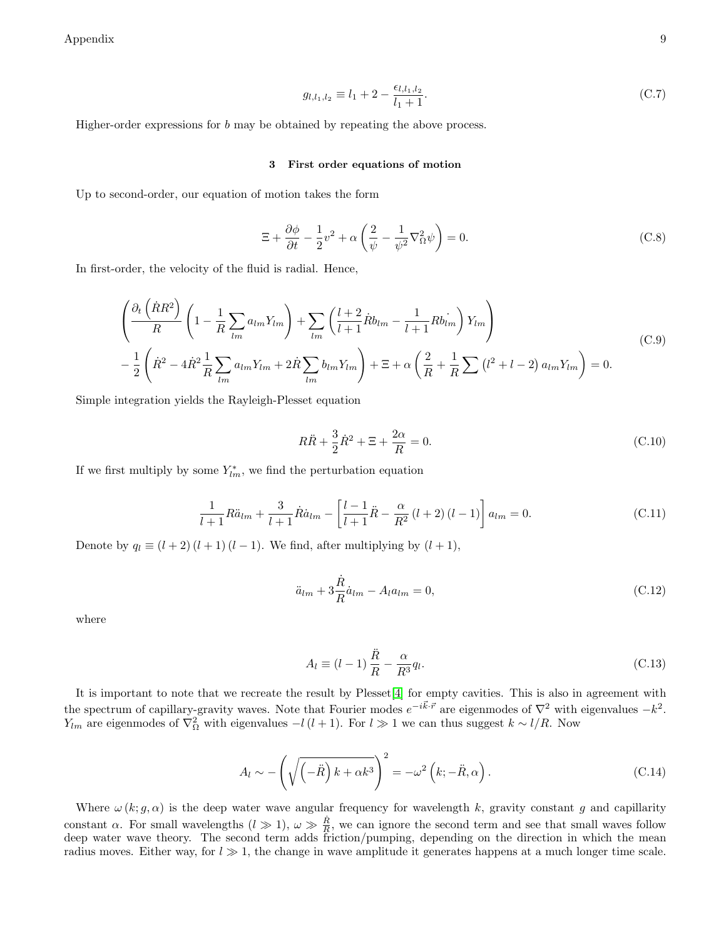Appendix  $\qquad \qquad \qquad 9$ 

$$
g_{l,l_1,l_2} \equiv l_1 + 2 - \frac{\epsilon_{l,l_1,l_2}}{l_1 + 1}.
$$
\n(C.7)

Higher-order expressions for b may be obtained by repeating the above process.

#### 3 First order equations of motion

Up to second-order, our equation of motion takes the form

$$
\Xi + \frac{\partial \phi}{\partial t} - \frac{1}{2}v^2 + \alpha \left(\frac{2}{\psi} - \frac{1}{\psi^2} \nabla^2_{\Omega} \psi\right) = 0.
$$
 (C.8)

In first-order, the velocity of the fluid is radial. Hence,

$$
\left(\frac{\partial_t\left(\dot{R}R^2\right)}{R}\left(1-\frac{1}{R}\sum_{lm}a_{lm}Y_{lm}\right)+\sum_{lm}\left(\frac{l+2}{l+1}\dot{R}b_{lm}-\frac{1}{l+1}Rb_{lm}\right)Y_{lm}\right)\\-\frac{1}{2}\left(\dot{R}^2-4\dot{R}^2\frac{1}{R}\sum_{lm}a_{lm}Y_{lm}+2\dot{R}\sum_{lm}b_{lm}Y_{lm}\right)+\Xi+\alpha\left(\frac{2}{R}+\frac{1}{R}\sum\left(l^2+l-2\right)a_{lm}Y_{lm}\right)=0.\tag{C.9}
$$

Simple integration yields the Rayleigh-Plesset equation

$$
R\ddot{R} + \frac{3}{2}\dot{R}^2 + \Xi + \frac{2\alpha}{R} = 0.
$$
 (C.10)

If we first multiply by some  $Y_{lm}^*$ , we find the perturbation equation

$$
\frac{1}{l+1}R\ddot{a}_{lm} + \frac{3}{l+1}\dot{R}\dot{a}_{lm} - \left[\frac{l-1}{l+1}\ddot{R} - \frac{\alpha}{R^2}\left(l+2\right)\left(l-1\right)\right]a_{lm} = 0.
$$
\n(C.11)

Denote by  $q_l \equiv (l+2)(l+1)(l-1)$ . We find, after multiplying by  $(l+1)$ ,

<span id="page-8-1"></span>
$$
\ddot{a}_{lm} + 3\frac{\dot{R}}{R}\dot{a}_{lm} - A_l a_{lm} = 0,
$$
\n(C.12)

where

<span id="page-8-0"></span>
$$
A_l \equiv (l-1)\frac{\ddot{R}}{R} - \frac{\alpha}{R^3}q_l.
$$
\n(C.13)

It is important to note that we recreate the result by Plesset[\[4\]](#page-4-3) for empty cavities. This is also in agreement with the spectrum of capillary-gravity waves. Note that Fourier modes  $e^{-i\vec{k}\cdot\vec{r}}$  are eigenmodes of  $\nabla^2$  with eigenvalues  $-k^2$ .  $Y_{lm}$  are eigenmodes of  $\nabla_{\Omega}^2$  with eigenvalues  $-l(l+1)$ . For  $l \gg 1$  we can thus suggest  $k \sim l/R$ . Now

$$
A_l \sim -\left(\sqrt{\left(-\ddot{R}\right)k + \alpha k^3}\right)^2 = -\omega^2 \left(k; -\ddot{R}, \alpha\right). \tag{C.14}
$$

Where  $\omega(k; g, \alpha)$  is the deep water wave angular frequency for wavelength k, gravity constant g and capillarity constant  $\alpha$ . For small wavelengths  $(l \gg 1)$ ,  $\omega \gg \frac{\dot{R}}{R}$ , we can ignore the second term and see that small waves follow deep water wave theory. The second term adds friction/pumping, depending on the direction in which the mean radius moves. Either way, for  $l \gg 1$ , the change in wave amplitude it generates happens at a much longer time scale.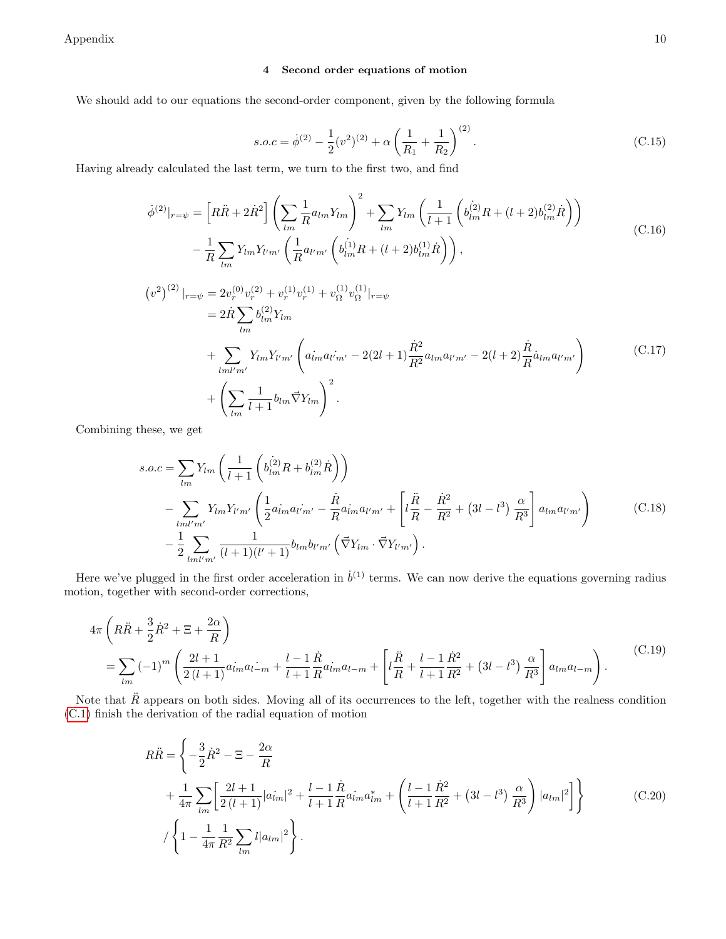Appendix  $10$ 

# 4 Second order equations of motion

We should add to our equations the second-order component, given by the following formula

$$
s.o.c = \dot{\phi}^{(2)} - \frac{1}{2}(v^2)^{(2)} + \alpha \left(\frac{1}{R_1} + \frac{1}{R_2}\right)^{(2)}.
$$
\n(C.15)

Having already calculated the last term, we turn to the first two, and find

$$
\dot{\phi}^{(2)}|_{r=\psi} = \left[ R\ddot{R} + 2\dot{R}^2 \right] \left( \sum_{lm} \frac{1}{R} a_{lm} Y_{lm} \right)^2 + \sum_{lm} Y_{lm} \left( \frac{1}{l+1} \left( b_{lm}^{(2)} R + (l+2) b_{lm}^{(2)} \dot{R} \right) \right) \n- \frac{1}{R} \sum_{lm} Y_{lm} Y_{l'm'} \left( \frac{1}{R} a_{l'm'} \left( b_{lm}^{(1)} R + (l+2) b_{lm}^{(1)} \dot{R} \right) \right), \n(v^2)^{(2)}|_{r=\psi} = 2v_r^{(0)} v_r^{(2)} + v_r^{(1)} v_r^{(1)} + v_{\Omega}^{(1)} v_{\Omega}^{(1)}|_{r=\psi} \n= 2\dot{R} \sum_{lm} b_{lm}^{(2)} Y_{lm} \n+ \sum_{lml'm'} Y_{lm} Y_{l'm'} \left( a_{lm} a_{l'm'} - 2(2l+1) \frac{\dot{R}^2}{R^2} a_{lm} a_{l'm'} - 2(l+2) \frac{\dot{R}}{R} a_{lm} a_{l'm'} \right) \n+ \left( \sum_{lm} \frac{1}{l+1} b_{lm} \vec{\nabla} Y_{lm} \right)^2.
$$
\n(C.17)

Combining these, we get

$$
s.o.c = \sum_{lm} Y_{lm} \left( \frac{1}{l+1} \left( b_{lm}^{(2)} R + b_{lm}^{(2)} \dot{R} \right) \right)
$$
  
 
$$
- \sum_{lml'm'} Y_{lm} Y_{l'm'} \left( \frac{1}{2} a_{lm} a_{l'm'} - \frac{\dot{R}}{R} a_{lm} a_{l'm'} + \left[ l \frac{\ddot{R}}{R} - \frac{\dot{R}^2}{R^2} + (3l - l^3) \frac{\alpha}{R^3} \right] a_{lm} a_{l'm'} \right)
$$
(C.18)  
 
$$
- \frac{1}{2} \sum_{lml'm'} \frac{1}{(l+1)(l'+1)} b_{lm} b_{l'm'} \left( \vec{\nabla} Y_{lm} \cdot \vec{\nabla} Y_{l'm'} \right).
$$

Here we've plugged in the first order acceleration in  $\dot{b}^{(1)}$  terms. We can now derive the equations governing radius motion, together with second-order corrections,

$$
4\pi \left( R\ddot{R} + \frac{3}{2}\dot{R}^2 + \Xi + \frac{2\alpha}{R} \right)
$$
  
=  $\sum_{lm} (-1)^m \left( \frac{2l+1}{2(l+1)} a_{lm} a_{l-m} + \frac{l-1}{l+1} \frac{\dot{R}}{R} a_{lm} a_{l-m} + \left[ l \frac{\ddot{R}}{R} + \frac{l-1}{l+1} \frac{\dot{R}^2}{R^2} + (3l-l^3) \frac{\alpha}{R^3} \right] a_{lm} a_{l-m} \right).$  (C.19)

Note that  $\ddot{R}$  appears on both sides. Moving all of its occurrences to the left, together with the realness condition [\(C.1\)](#page-7-0) finish the derivation of the radial equation of motion

$$
R\ddot{R} = \left\{ -\frac{3}{2}\dot{R}^2 - \Xi - \frac{2\alpha}{R} \right\}
$$
  
+  $\frac{1}{4\pi} \sum_{lm} \left[ \frac{2l+1}{2(l+1)} |a_{lm}|^2 + \frac{l-1}{l+1} \frac{\dot{R}}{R} a_{lm}^* a_{lm}^* + \left( \frac{l-1}{l+1} \frac{\dot{R}^2}{R^2} + (3l-l^3) \frac{\alpha}{R^3} \right) |a_{lm}|^2 \right] \right\}$  (C.20)  
/  $\left\{ 1 - \frac{1}{4\pi} \frac{1}{R^2} \sum_{lm} l |a_{lm}|^2 \right\}.$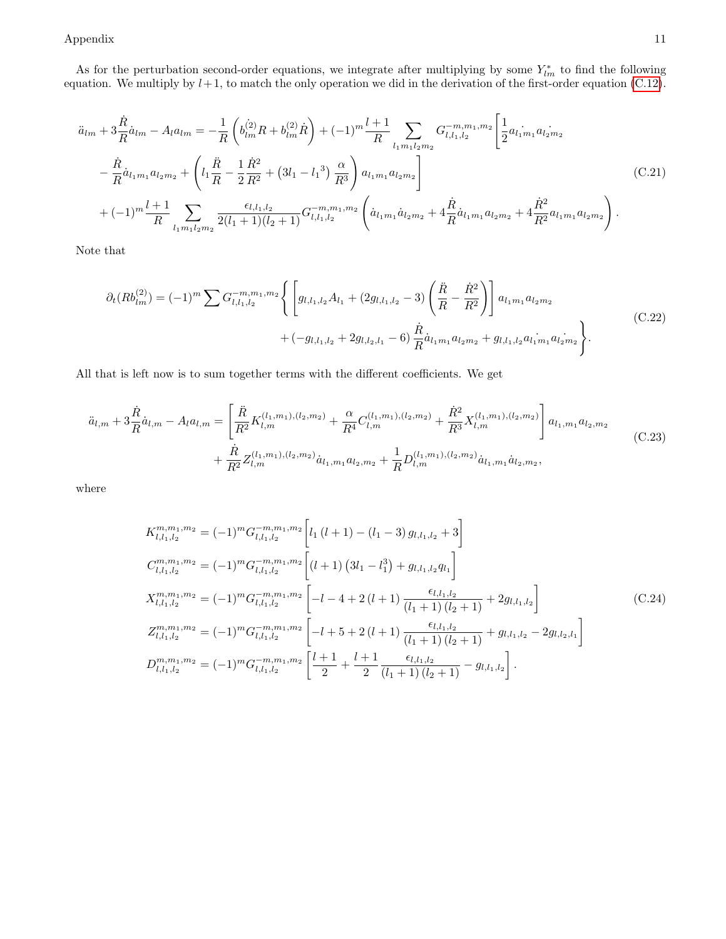# Appendix the contract of the contract of the contract of the contract of the contract of the contract of the contract of the contract of the contract of the contract of the contract of the contract of the contract of the c

As for the perturbation second-order equations, we integrate after multiplying by some  $Y_{lm}^*$  to find the following equation. We multiply by  $l+1$ , to match the only operation we did in the derivation of the first-order equation [\(C.12\)](#page-8-1).

$$
\ddot{a}_{lm} + 3\frac{\dot{R}}{R}\dot{a}_{lm} - A_l a_{lm} = -\frac{1}{R} \left( b_{lm}^{(2)} R + b_{lm}^{(2)} \dot{R} \right) + (-1)^m \frac{l+1}{R} \sum_{l_1 m_1 l_2 m_2} G_{l, l_1, l_2}^{-m, m_1, m_2} \left[ \frac{1}{2} a_{l_1 m_1} a_{l_2 m_2} \right. \n- \frac{\dot{R}}{R} \dot{a}_{l_1 m_1} a_{l_2 m_2} + \left( l_1 \frac{\ddot{R}}{R} - \frac{1}{2} \frac{\dot{R}^2}{R^2} + (3l_1 - l_1^3) \frac{\alpha}{R^3} \right) a_{l_1 m_1} a_{l_2 m_2} \right] \n+ (-1)^m \frac{l+1}{R} \sum_{l_1 m_1 l_2 m_2} \frac{\epsilon_{l, l_1, l_2}}{2(l_1 + 1)(l_2 + 1)} G_{l, l_1, l_2}^{-m, m_1, m_2} \left( \dot{a}_{l_1 m_1} \dot{a}_{l_2 m_2} + 4 \frac{\dot{R}}{R} \dot{a}_{l_1 m_1} a_{l_2 m_2} + 4 \frac{\dot{R}^2}{R^2} a_{l_1 m_1} a_{l_2 m_2} \right).
$$
\n(C.21)

Note that

$$
\partial_t (Rb_{lm}^{(2)}) = (-1)^m \sum G_{l,l_1,l_2}^{-m,m_1,m_2} \left\{ \left[ g_{l,l_1,l_2} A_{l_1} + (2g_{l,l_1,l_2} - 3) \left( \frac{\ddot{R}}{R} - \frac{\dot{R}^2}{R^2} \right) \right] a_{l_1m_1} a_{l_2m_2} + (-g_{l,l_1,l_2} + 2g_{l,l_2,l_1} - 6) \frac{\dot{R}}{R} \dot{a}_{l_1m_1} a_{l_2m_2} + g_{l,l_1,l_2} a_{l_1m_1} a_{l_2m_2} \right\}.
$$
\n(C.22)

All that is left now is to sum together terms with the different coefficients. We get

$$
\ddot{a}_{l,m} + 3\frac{\dot{R}}{R}\dot{a}_{l,m} - A_l a_{l,m} = \left[\frac{\ddot{R}}{R^2} K_{l,m}^{(l_1,m_1),(l_2,m_2)} + \frac{\alpha}{R^4} C_{l,m}^{(l_1,m_1),(l_2,m_2)} + \frac{\dot{R}^2}{R^3} X_{l,m}^{(l_1,m_1),(l_2,m_2)}\right] a_{l_1,m_1} a_{l_2,m_2} + \frac{\dot{R}}{R^2} Z_{l,m}^{(l_1,m_1),(l_2,m_2)} \dot{a}_{l_1,m_1} a_{l_2,m_2} + \frac{1}{R} D_{l,m}^{(l_1,m_1),(l_2,m_2)} \dot{a}_{l_1,m_1} \dot{a}_{l_2,m_2},
$$
\n(C.23)

where

<span id="page-10-0"></span>
$$
K_{l,l_{1},l_{2}}^{m,m_{1},m_{2}} = (-1)^{m} G_{l,l_{1},l_{2}}^{-m,m_{1},m_{2}} \left[ l_{1} (l+1) - (l_{1}-3) g_{l,l_{1},l_{2}} + 3 \right]
$$
  
\n
$$
C_{l,l_{1},l_{2}}^{m,m_{1},m_{2}} = (-1)^{m} G_{l,l_{1},l_{2}}^{-m,m_{1},m_{2}} \left[ (l+1) (3l_{1} - l_{1}) + g_{l,l_{1},l_{2}} q_{l_{1}} \right]
$$
  
\n
$$
X_{l,l_{1},l_{2}}^{m,m_{1},m_{2}} = (-1)^{m} G_{l,l_{1},l_{2}}^{-m,m_{1},m_{2}} \left[ -l - 4 + 2 (l+1) \frac{\epsilon_{l,l_{1},l_{2}}}{(l_{1}+1) (l_{2}+1)} + 2g_{l,l_{1},l_{2}} \right]
$$
  
\n
$$
Z_{l,l_{1},l_{2}}^{m,m_{1},m_{2}} = (-1)^{m} G_{l,l_{1},l_{2}}^{-m,m_{1},m_{2}} \left[ -l + 5 + 2 (l+1) \frac{\epsilon_{l,l_{1},l_{2}}}{(l_{1}+1) (l_{2}+1)} + g_{l,l_{1},l_{2}} - 2g_{l,l_{2},l_{1}} \right]
$$
  
\n
$$
D_{l,l_{1},l_{2}}^{m,m_{1},m_{2}} = (-1)^{m} G_{l,l_{1},l_{2}}^{-m,m_{1},m_{2}} \left[ \frac{l+1}{2} + \frac{l+1}{2} \frac{\epsilon_{l,l_{1},l_{2}}}{(l_{1}+1) (l_{2}+1)} - g_{l,l_{1},l_{2}} \right].
$$
  
\n(11)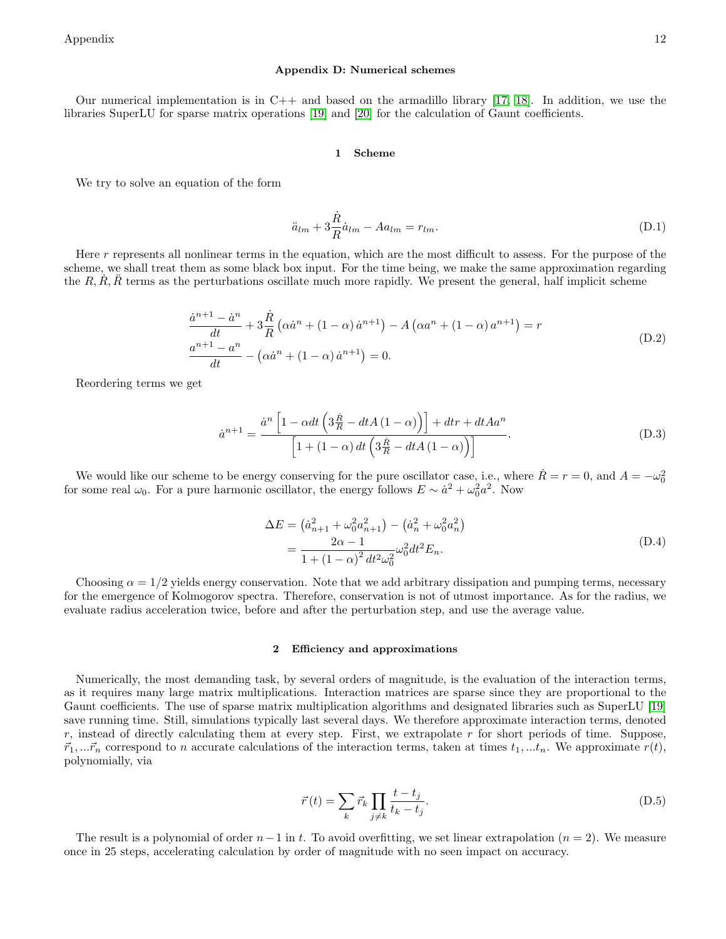#### Appendix D: Numerical schemes

Our numerical implementation is in  $C++$  and based on the armadillo library [\[17,](#page-4-16) [18\]](#page-4-17). In addition, we use the libraries SuperLU for sparse matrix operations [\[19\]](#page-4-18) and [\[20\]](#page-4-19) for the calculation of Gaunt coefficients.

## <span id="page-11-0"></span>1 Scheme

We try to solve an equation of the form

$$
\ddot{a}_{lm} + 3\frac{\dot{R}}{R}\dot{a}_{lm} - A a_{lm} = r_{lm}.\tag{D.1}
$$

Here r represents all nonlinear terms in the equation, which are the most difficult to assess. For the purpose of the scheme, we shall treat them as some black box input. For the time being, we make the same approximation regarding the  $R, R, R$  terms as the perturbations oscillate much more rapidly. We present the general, half implicit scheme

$$
\frac{\dot{a}^{n+1} - \dot{a}^n}{dt} + 3\frac{\dot{R}}{R} \left(\alpha \dot{a}^n + (1 - \alpha)\dot{a}^{n+1}\right) - A\left(\alpha a^n + (1 - \alpha)a^{n+1}\right) = r
$$
\n
$$
\frac{a^{n+1} - a^n}{dt} - \left(\alpha \dot{a}^n + (1 - \alpha)\dot{a}^{n+1}\right) = 0.
$$
\n(D.2)

Reordering terms we get

$$
\dot{a}^{n+1} = \frac{\dot{a}^n \left[1 - \alpha dt \left(3\frac{\dot{R}}{R} - dtA\left(1 - \alpha\right)\right)\right] + dtr + dtAa^n}{\left[1 + \left(1 - \alpha\right)dt \left(3\frac{\dot{R}}{R} - dtA\left(1 - \alpha\right)\right)\right]}.
$$
\n(D.3)

We would like our scheme to be energy conserving for the pure oscillator case, i.e., where  $\dot{R} = r = 0$ , and  $A = -\omega_0^2$ for some real  $\omega_0$ . For a pure harmonic oscillator, the energy follows  $E \sim \dot{a}^2 + \omega_0^2 a^2$ . Now

$$
\Delta E = (\dot{a}_{n+1}^2 + \omega_0^2 a_{n+1}^2) - (\dot{a}_n^2 + \omega_0^2 a_n^2) \n= \frac{2\alpha - 1}{1 + (1 - \alpha)^2 dt^2 \omega_0^2} \omega_0^2 dt^2 E_n.
$$
\n(D.4)

Choosing  $\alpha = 1/2$  yields energy conservation. Note that we add arbitrary dissipation and pumping terms, necessary for the emergence of Kolmogorov spectra. Therefore, conservation is not of utmost importance. As for the radius, we evaluate radius acceleration twice, before and after the perturbation step, and use the average value.

## <span id="page-11-1"></span>2 Efficiency and approximations

Numerically, the most demanding task, by several orders of magnitude, is the evaluation of the interaction terms, as it requires many large matrix multiplications. Interaction matrices are sparse since they are proportional to the Gaunt coefficients. The use of sparse matrix multiplication algorithms and designated libraries such as SuperLU [\[19\]](#page-4-18) save running time. Still, simulations typically last several days. We therefore approximate interaction terms, denoted  $r$ , instead of directly calculating them at every step. First, we extrapolate  $r$  for short periods of time. Suppose,  $\vec{r}_1, \dots, \vec{r}_n$  correspond to n accurate calculations of the interaction terms, taken at times  $t_1, \dots, t_n$ . We approximate  $r(t)$ , polynomially, via

$$
\vec{r}(t) = \sum_{k} \vec{r}_k \prod_{j \neq k} \frac{t - t_j}{t_k - t_j}.
$$
\n(D.5)

The result is a polynomial of order  $n-1$  in t. To avoid overfitting, we set linear extrapolation  $(n = 2)$ . We measure once in 25 steps, accelerating calculation by order of magnitude with no seen impact on accuracy.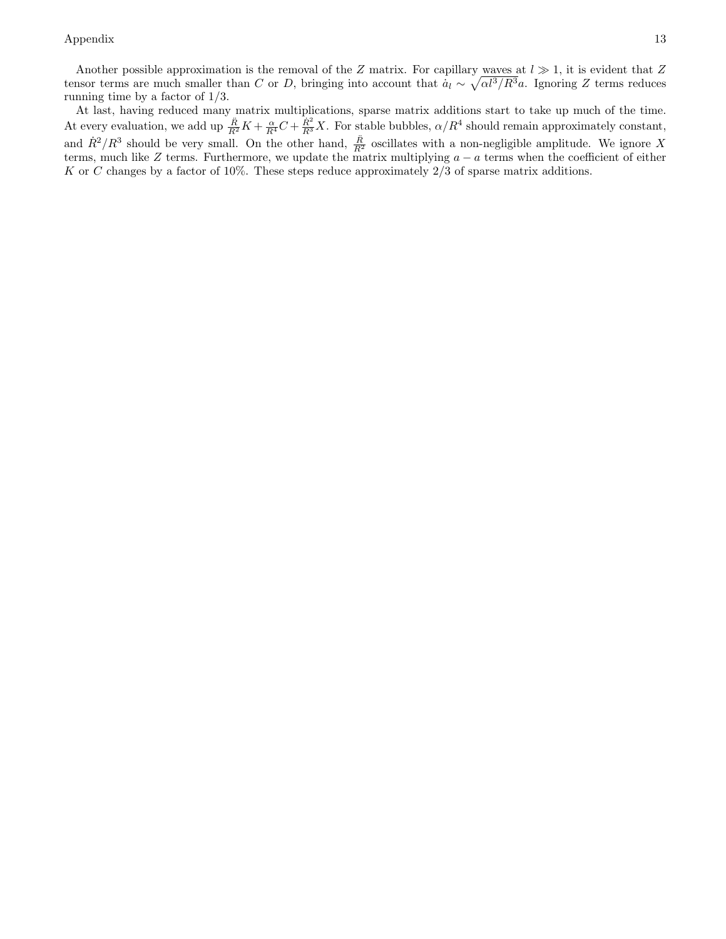Another possible approximation is the removal of the Z matrix. For capillary waves at  $l \gg 1$ , it is evident that Z tensor terms are much smaller than C or D, bringing into account that  $\dot{a}_l \sim \sqrt{\alpha l^3/R^3}a$ . Ignoring Z terms reduces running time by a factor of 1/3.

At last, having reduced many matrix multiplications, sparse matrix additions start to take up much of the time. At every evaluation, we add up  $\frac{\ddot{R}}{R^2}K + \frac{\alpha}{R^4}C + \frac{\dot{R}^2}{R^3}X$ . For stable bubbles,  $\alpha/R^4$  should remain approximately constant, and  $\dot{R}^2/R^3$  should be very small. On the other hand,  $\frac{\ddot{R}}{R^2}$  oscillates with a non-negligible amplitude. We ignore X terms, much like Z terms. Furthermore, we update the matrix multiplying  $a - a$  terms when the coefficient of either K or C changes by a factor of 10%. These steps reduce approximately  $2/3$  of sparse matrix additions.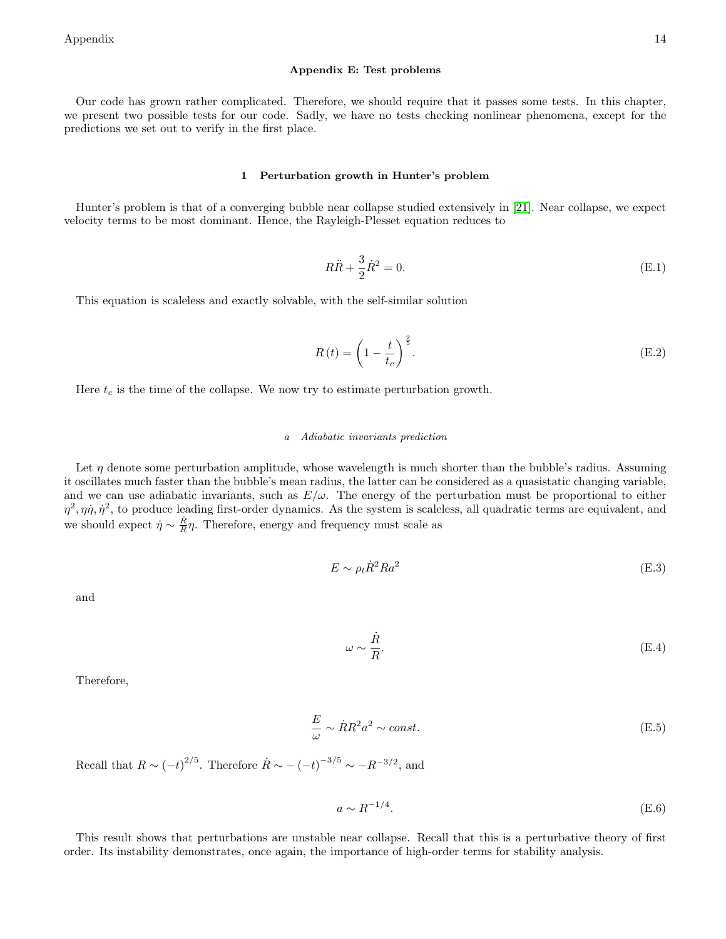### Appendix E: Test problems

Our code has grown rather complicated. Therefore, we should require that it passes some tests. In this chapter, we present two possible tests for our code. Sadly, we have no tests checking nonlinear phenomena, except for the predictions we set out to verify in the first place.

## 1 Perturbation growth in Hunter's problem

Hunter's problem is that of a converging bubble near collapse studied extensively in [\[21\]](#page-4-20). Near collapse, we expect velocity terms to be most dominant. Hence, the Rayleigh-Plesset equation reduces to

$$
R\ddot{R} + \frac{3}{2}\dot{R}^2 = 0.
$$
 (E.1)

This equation is scaleless and exactly solvable, with the self-similar solution

$$
R(t) = \left(1 - \frac{t}{t_c}\right)^{\frac{2}{5}}.\tag{E.2}
$$

Here  $t_c$  is the time of the collapse. We now try to estimate perturbation growth.

### a Adiabatic invariants prediction

Let  $\eta$  denote some perturbation amplitude, whose wavelength is much shorter than the bubble's radius. Assuming it oscillates much faster than the bubble's mean radius, the latter can be considered as a quasistatic changing variable, and we can use adiabatic invariants, such as  $E/\omega$ . The energy of the perturbation must be proportional to either  $\eta^2$ ,  $\eta\dot{\eta}$ ,  $\dot{\eta}^2$ , to produce leading first-order dynamics. As the system is scaleless, all quadratic terms are equivalent, and we should expect  $\dot{\eta} \sim \frac{\dot{R}}{R} \eta$ . Therefore, energy and frequency must scale as

$$
E \sim \rho_l \dot{R}^2 R a^2 \tag{E.3}
$$

and

 $\omega \sim \frac{\dot{R}}{R}$ R .  $(E.4)$ 

Therefore,

$$
\frac{E}{\omega} \sim \dot{R}R^2a^2 \sim const.
$$
\n(E.5)

Recall that  $R \sim (-t)^{2/5}$ . Therefore  $\dot{R} \sim -(-t)^{-3/5} \sim -R^{-3/2}$ , and

$$
a \sim R^{-1/4}.\tag{E.6}
$$

This result shows that perturbations are unstable near collapse. Recall that this is a perturbative theory of first order. Its instability demonstrates, once again, the importance of high-order terms for stability analysis.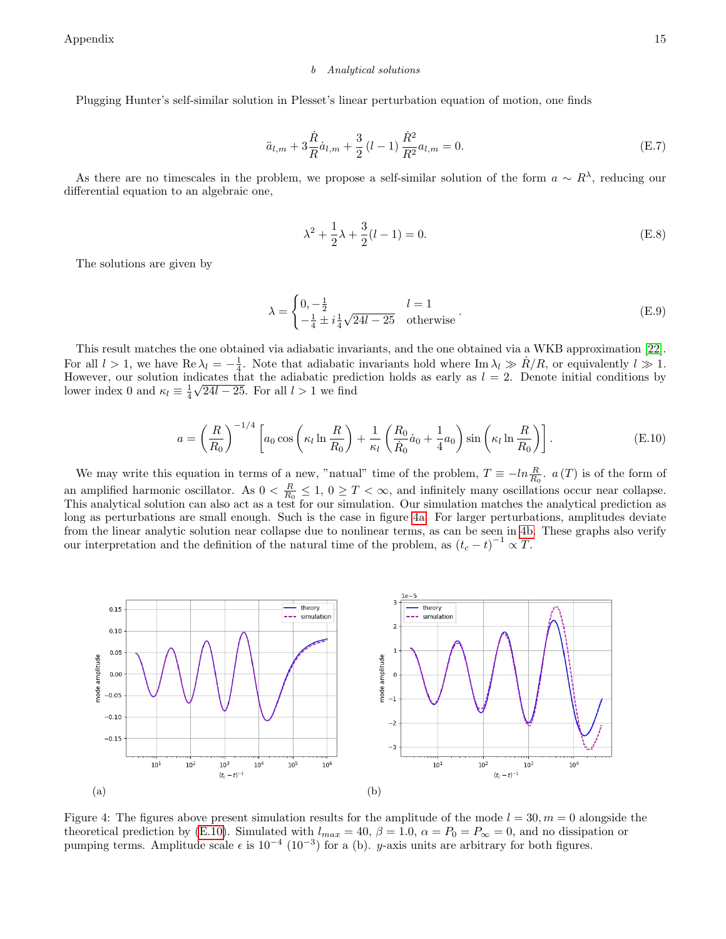Appendix  $15$ 

## b Analytical solutions

Plugging Hunter's self-similar solution in Plesset's linear perturbation equation of motion, one finds

$$
\ddot{a}_{l,m} + 3\frac{\dot{R}}{R}\dot{a}_{l,m} + \frac{3}{2}(l-1)\frac{\dot{R}^2}{R^2}a_{l,m} = 0.
$$
 (E.7)

As there are no timescales in the problem, we propose a self-similar solution of the form  $a \sim R^{\lambda}$ , reducing our differential equation to an algebraic one,

$$
\lambda^2 + \frac{1}{2}\lambda + \frac{3}{2}(l-1) = 0.
$$
 (E.8)

The solutions are given by

$$
\lambda = \begin{cases} 0, -\frac{1}{2} & l = 1 \\ -\frac{1}{4} \pm i\frac{1}{4}\sqrt{24l - 25} & \text{otherwise} \end{cases} .
$$
 (E.9)

This result matches the one obtained via adiabatic invariants, and the one obtained via a WKB approximation [\[22\]](#page-4-21). For all  $l > 1$ , we have  $\text{Re } \lambda_l = -\frac{1}{4}$ . Note that adiabatic invariants hold where  $\text{Im } \lambda_l \gg R/R$ , or equivalently  $l \gg 1$ . However, our solution indicates that the adiabatic prediction holds as early as  $l = 2$ . Denote initial conditions by lower index 0 and  $\kappa_l \equiv \frac{1}{4} \sqrt{24l - 25}$ . For all  $l > 1$  we find

<span id="page-14-1"></span>
$$
a = \left(\frac{R}{R_0}\right)^{-1/4} \left[ a_0 \cos\left(\kappa_l \ln \frac{R}{R_0}\right) + \frac{1}{\kappa_l} \left(\frac{R_0}{\dot{R}_0} \dot{a}_0 + \frac{1}{4} a_0\right) \sin\left(\kappa_l \ln \frac{R}{R_0}\right) \right].
$$
 (E.10)

We may write this equation in terms of a new, "natual" time of the problem,  $T \equiv -\ln \frac{R}{R_0}$ .  $a(T)$  is of the form of an amplified harmonic oscillator. As  $0 < \frac{R}{R_0} \le 1$ ,  $0 \ge T < \infty$ , and infinitely many oscillations occur near collapse. This analytical solution can also act as a test for our simulation. Our simulation matches the analytical prediction as long as perturbations are small enough. Such is the case in figure [4a.](#page-14-0) For larger perturbations, amplitudes deviate from the linear analytic solution near collapse due to nonlinear terms, as can be seen in [4b.](#page-14-0) These graphs also verify our interpretation and the definition of the natural time of the problem, as  $(t_c - t)^{-1} \propto T$ .

<span id="page-14-0"></span>

Figure 4: The figures above present simulation results for the amplitude of the mode  $l = 30, m = 0$  alongside the theoretical prediction by [\(E.10\)](#page-14-1). Simulated with  $l_{max} = 40$ ,  $\beta = 1.0$ ,  $\alpha = P_0 = P_\infty = 0$ , and no dissipation or pumping terms. Amplitude scale  $\epsilon$  is 10<sup>-4</sup> (10<sup>-3</sup>) for a (b). y-axis units are arbitrary for both figures.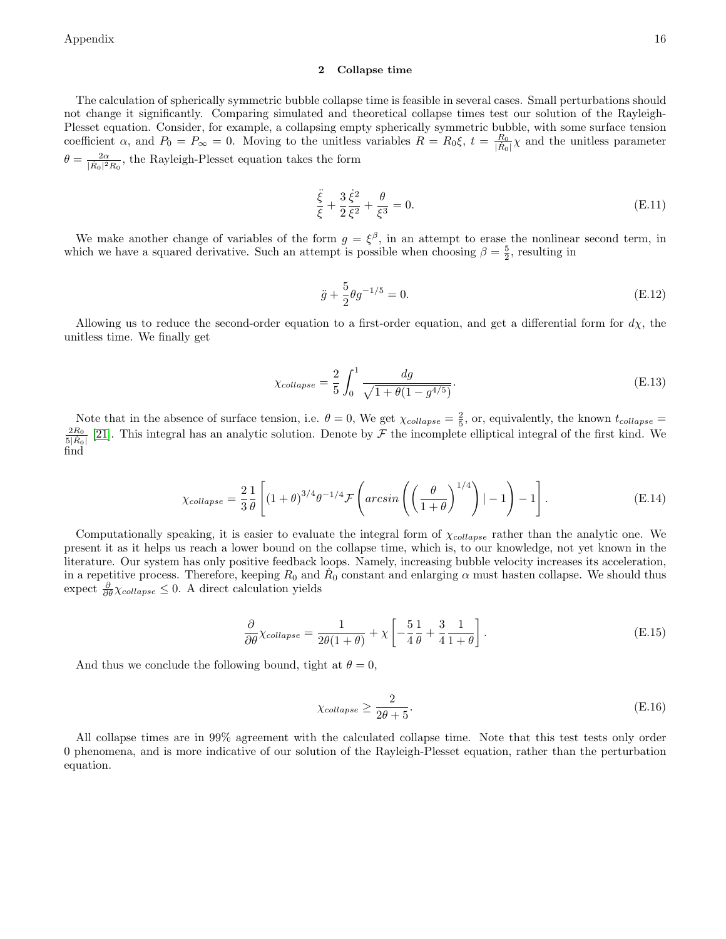# 2 Collapse time

The calculation of spherically symmetric bubble collapse time is feasible in several cases. Small perturbations should not change it significantly. Comparing simulated and theoretical collapse times test our solution of the Rayleigh-Plesset equation. Consider, for example, a collapsing empty spherically symmetric bubble, with some surface tension coefficient  $\alpha$ , and  $P_0 = P_{\infty} = 0$ . Moving to the unitless variables  $R = R_0 \xi$ ,  $t = \frac{R_0}{|\dot{R}_0|} \chi$  and the unitless parameter  $\theta = \frac{2\alpha}{|\dot{R}_0|^2 R_0}$ , the Rayleigh-Plesset equation takes the form

$$
\frac{\ddot{\xi}}{\xi} + \frac{3}{2}\frac{\dot{\xi}^2}{\xi^2} + \frac{\theta}{\xi^3} = 0.
$$
 (E.11)

We make another change of variables of the form  $g = \xi^{\beta}$ , in an attempt to erase the nonlinear second term, in which we have a squared derivative. Such an attempt is possible when choosing  $\beta = \frac{5}{2}$ , resulting in

$$
\ddot{g} + \frac{5}{2}\theta g^{-1/5} = 0.
$$
 (E.12)

Allowing us to reduce the second-order equation to a first-order equation, and get a differential form for  $d\chi$ , the unitless time. We finally get

$$
\chi_{collapse} = \frac{2}{5} \int_0^1 \frac{dg}{\sqrt{1 + \theta (1 - g^{4/5})}}.
$$
\n(E.13)

Note that in the absence of surface tension, i.e.  $\theta = 0$ , We get  $\chi_{collapse} = \frac{2}{5}$ , or, equivalently, the known  $t_{collapse} = \frac{2}{5}$  $\frac{2R_0}{5|\dot{R}_0|}$  [\[21\]](#page-4-20). This integral has an analytic solution. Denote by  $\mathcal F$  the incomplete elliptical integral of the first kind. We find

$$
\chi_{collapse} = \frac{2}{3} \frac{1}{\theta} \left[ \left( 1 + \theta \right)^{3/4} \theta^{-1/4} \mathcal{F} \left( \arcsin \left( \left( \frac{\theta}{1 + \theta} \right)^{1/4} \right) \Big| - 1 \right) - 1 \right]. \tag{E.14}
$$

Computationally speaking, it is easier to evaluate the integral form of  $\chi_{collapse}$  rather than the analytic one. We present it as it helps us reach a lower bound on the collapse time, which is, to our knowledge, not yet known in the literature. Our system has only positive feedback loops. Namely, increasing bubble velocity increases its acceleration, in a repetitive process. Therefore, keeping  $R_0$  and  $R_0$  constant and enlarging  $\alpha$  must hasten collapse. We should thus expect  $\frac{\partial}{\partial \theta} \chi_{collapse} \leq 0$ . A direct calculation yields

$$
\frac{\partial}{\partial \theta} \chi_{collapse} = \frac{1}{2\theta(1+\theta)} + \chi \left[ -\frac{5}{4} \frac{1}{\theta} + \frac{3}{4} \frac{1}{1+\theta} \right].
$$
 (E.15)

And thus we conclude the following bound, tight at  $\theta = 0$ ,

$$
\chi_{collapse} \ge \frac{2}{2\theta + 5}.\tag{E.16}
$$

All collapse times are in 99% agreement with the calculated collapse time. Note that this test tests only order 0 phenomena, and is more indicative of our solution of the Rayleigh-Plesset equation, rather than the perturbation equation.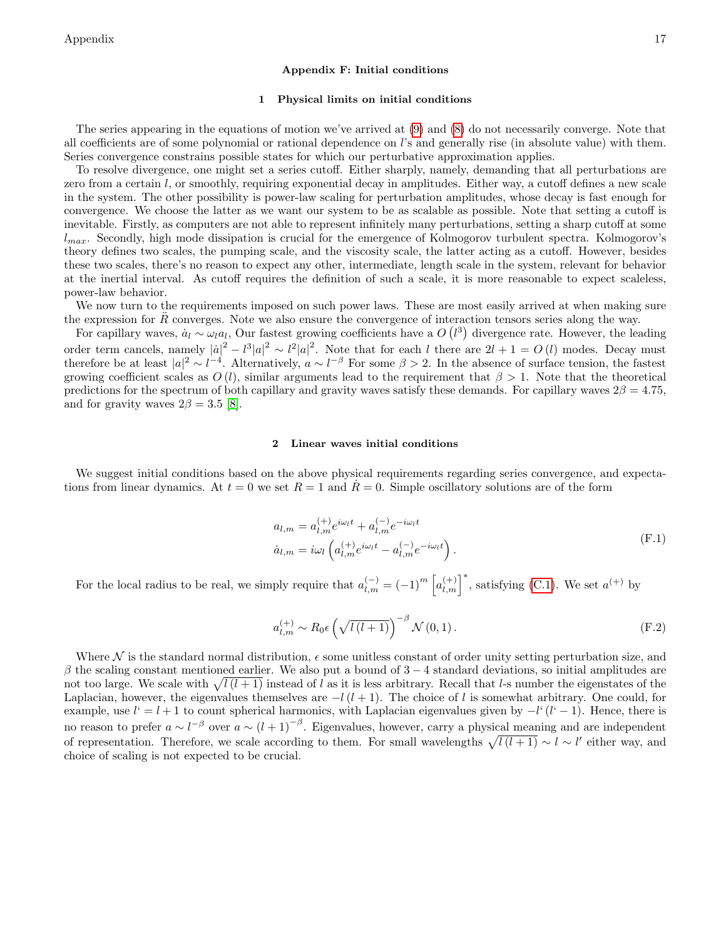# Appendix F: Initial conditions

#### <span id="page-16-0"></span>1 Physical limits on initial conditions

The series appearing in the equations of motion we've arrived at [\(9\)](#page-1-4) and [\(8\)](#page-1-3) do not necessarily converge. Note that all coefficients are of some polynomial or rational dependence on l's and generally rise (in absolute value) with them. Series convergence constrains possible states for which our perturbative approximation applies.

To resolve divergence, one might set a series cutoff. Either sharply, namely, demanding that all perturbations are zero from a certain l, or smoothly, requiring exponential decay in amplitudes. Either way, a cutoff defines a new scale in the system. The other possibility is power-law scaling for perturbation amplitudes, whose decay is fast enough for convergence. We choose the latter as we want our system to be as scalable as possible. Note that setting a cutoff is inevitable. Firstly, as computers are not able to represent infinitely many perturbations, setting a sharp cutoff at some  $l_{max}$ . Secondly, high mode dissipation is crucial for the emergence of Kolmogorov turbulent spectra. Kolmogorov's theory defines two scales, the pumping scale, and the viscosity scale, the latter acting as a cutoff. However, besides these two scales, there's no reason to expect any other, intermediate, length scale in the system, relevant for behavior at the inertial interval. As cutoff requires the definition of such a scale, it is more reasonable to expect scaleless, power-law behavior.

We now turn to the requirements imposed on such power laws. These are most easily arrived at when making sure the expression for  $R$  converges. Note we also ensure the convergence of interaction tensors series along the way.

For capillary waves,  $\dot{a}_l \sim \omega_l a_l$ , Our fastest growing coefficients have a  $O(l^3)$  divergence rate. However, the leading order term cancels, namely  $|\dot{a}|^2 - l^3 |a|^2 \sim l^2 |a|^2$ . Note that for each l there are  $2l + 1 = O(l)$  modes. Decay must therefore be at least  $|a|^2 \sim l^{-4}$ . Alternatively,  $a \sim l^{-\beta}$  For some  $\beta > 2$ . In the absence of surface tension, the fastest growing coefficient scales as  $O(l)$ , similar arguments lead to the requirement that  $\beta > 1$ . Note that the theoretical predictions for the spectrum of both capillary and gravity waves satisfy these demands. For capillary waves  $2\beta = 4.75$ , and for gravity waves  $2\beta = 3.5$  [\[8\]](#page-4-6).

### 2 Linear waves initial conditions

We suggest initial conditions based on the above physical requirements regarding series convergence, and expectations from linear dynamics. At  $t = 0$  we set  $R = 1$  and  $\overline{R} = 0$ . Simple oscillatory solutions are of the form

$$
a_{l,m} = a_{l,m}^{(+)} e^{i\omega_l t} + a_{l,m}^{(-)} e^{-i\omega_l t}
$$
  
\n
$$
\dot{a}_{l,m} = i\omega_l \left( a_{l,m}^{(+)} e^{i\omega_l t} - a_{l,m}^{(-)} e^{-i\omega_l t} \right).
$$
\n(F.1)

For the local radius to be real, we simply require that  $a_{l,m}^{(-)} = (-1)^m \left[a_{l,m}^{(+)}\right]^*$ , satisfying [\(C.1\)](#page-7-0). We set  $a^{(+)}$  by

$$
a_{l,m}^{(+)} \sim R_0 \epsilon \left(\sqrt{l(l+1)}\right)^{-\beta} \mathcal{N}(0,1). \tag{F.2}
$$

Where  $\mathcal N$  is the standard normal distribution,  $\epsilon$  some unitless constant of order unity setting perturbation size, and  $\beta$  the scaling constant mentioned earlier. We also put a bound of 3 − 4 standard deviations, so initial amplitudes are not too large. We scale with  $\sqrt{l(l+1)}$  instead of l as it is less arbitrary. Recall that l-s number the eigenstates of the Laplacian, however, the eigenvalues themselves are  $-l(l+1)$ . The choice of l is somewhat arbitrary. One could, for example, use  $l' = l + 1$  to count spherical harmonics, with Laplacian eigenvalues given by  $-l'(l'-1)$ . Hence, there is no reason to prefer  $a \sim l^{-\beta}$  over  $a \sim (l+1)^{-\beta}$ . Eigenvalues, however, carry a physical meaning and are independent of representation. Therefore, we scale according to them. For small wavelengths  $\sqrt{l(l+1)} \sim l \sim l'$  either way, and choice of scaling is not expected to be crucial.